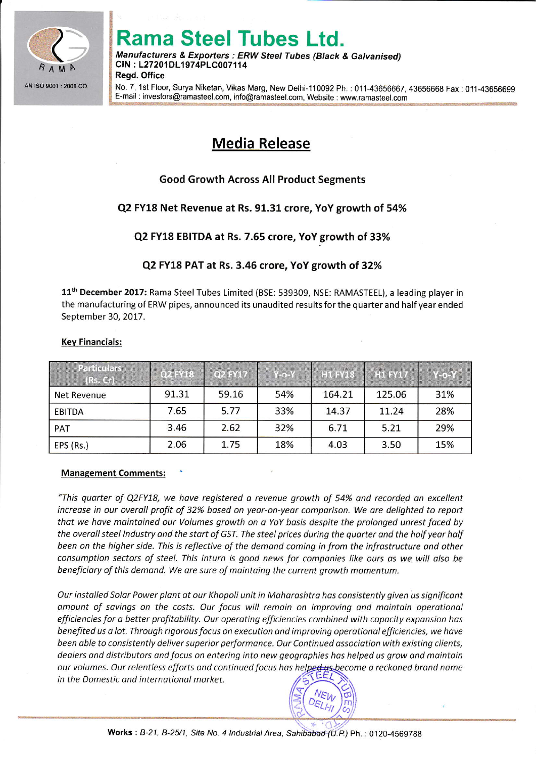

**INSURANCE** 

# ama Steel Tubes Ltd.

Manufacturers & Exporters : ERW Steel Tubes (Black & Galvanised) CIN : L27201DL1974PLC007114 **Read. Office** 

No. 7, 1st Floor, Surya Niketan, Vikas Marg, New Delhi-110092 Ph. : 011-43656667, 43656668 Fax: 011-43656699 ; E-mail : investors@ramasteel.com, info@ramasteel.com, Website : www.ramasteel.com

# Media Release

# Good Growth Across All Product Segments

# Q2 FY18 Net Revenue at Rs. 91.31 crore, YoY growth of 54%

# Q2 FY18 EBITDA at Rs, 7.65 crore, YoY growth of 33%

### Q2 FY18 PAT at Rs. 3.46 crore, YoY growth of 32%

11<sup>th</sup> December 2017: Rama Steel Tubes Limited (BSE: 539309, NSE: RAMASTEEL), a leading player in the manufacturing of ERW pipes, announced its unaudited results for the quarter and half year ended September 30, 2017.

#### Kev Financials:

| <b>Particulars</b><br>(Rs. Cr) | Q2 FY18 | Q2 FY17 | $Y$ -0- $Y$ | <b>H1 FY18</b> | <b>H1 FY17</b> | $Y$ -0- $Y$ |
|--------------------------------|---------|---------|-------------|----------------|----------------|-------------|
| Net Revenue                    | 91.31   | 59.16   | 54%         | 164.21         | 125.06         | 31%         |
| EBITDA                         | 7.65    | 5.77    | 33%         | 14.37          | 11.24          | 28%         |
| <b>PAT</b>                     | 3.46    | 2.62    | 32%         | 6.71           | 5.21           | 29%         |
| EPS (Rs.)                      | 2.06    | 1.75    | 18%         | 4.03           | 3.50           | 15%         |

#### Management Comments:

"This quorter of Q2FY18, we hove registered o revenue growth of 54% ond recorded on excellent increase in our overall profit of 32% based on year-on-year comparison. We are delighted to report thot we have mointained our Volumes growth on a YoY bosis despite the prolonged unrest foced by the overall steel Industry and the start of GST. The steel prices during the quarter and the half year half been on the higher side. This is reflective of the demond coming in from the infrostructure and other consumption sectors of steel. This inturn is good news for companies like ours as we will also be beneficiary of this demand. We are sure of maintaing the current growth momentum.

Our installed Solar Power plant at our Khopoli unit in Maharashtra has consistently given us significant amount of savings on the costs. Our focus will remain on improving and maintain operational efficiencies for a better profitability. Our operating efficiencies combined with capacity expansion has benefited us a lot. Through rigorous focus on execution and improving operational efficiencies, we have been able to consistently deliver superior performance. Our Continued association with existing clients, dealers and distributors and focus on entering into new geographies has helped us grow and maintain our volumes. Our relentless efforts and continued focus has helped us become a reckoned brand name in the Domestic ond internotionol morket.